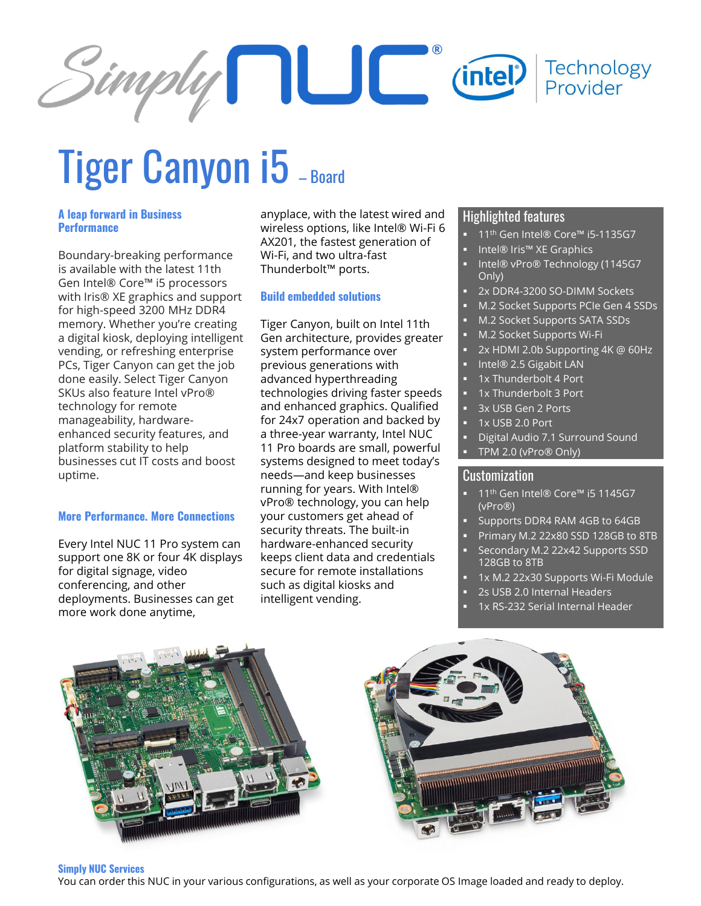

# Tiger Canyon i5 - Board

# **A leap forward in Business Performance**

Boundary-breaking performance is available with the latest 11th Gen Intel® Core™ i5 processors with Iris® XE graphics and support for high-speed 3200 MHz DDR4 memory. Whether you're creating a digital kiosk, deploying intelligent vending, or refreshing enterprise PCs, Tiger Canyon can get the job done easily. Select Tiger Canyon SKUs also feature Intel vPro® technology for remote manageability, hardwareenhanced security features, and platform stability to help businesses cut IT costs and boost uptime.

# **More Performance. More Connections**

Every Intel NUC 11 Pro system can support one 8K or four 4K displays for digital signage, video conferencing, and other deployments. Businesses can get more work done anytime,

anyplace, with the latest wired and wireless options, like Intel® Wi-Fi 6 AX201, the fastest generation of Wi-Fi, and two ultra-fast Thunderbolt™ ports.

# **Build embedded solutions**

Tiger Canyon, built on Intel 11th Gen architecture, provides greater system performance over previous generations with advanced hyperthreading technologies driving faster speeds and enhanced graphics. Qualified for 24x7 operation and backed by a three-year warranty, Intel NUC 11 Pro boards are small, powerful systems designed to meet today's needs—and keep businesses running for years. With Intel® vPro® technology, you can help your customers get ahead of security threats. The built-in hardware-enhanced security keeps client data and credentials secure for remote installations such as digital kiosks and intelligent vending.

# Highlighted features

- 11<sup>th</sup> Gen Intel® Core™ i5-1135G7
- Intel® Iris™ XE Graphics
- Intel® vPro® Technology (1145G7 Only)
- 2x DDR4-3200 SO-DIMM Sockets
- M.2 Socket Supports PCIe Gen 4 SSDs
- M.2 Socket Supports SATA SSDs
- M.2 Socket Supports Wi-Fi
- 2x HDMI 2.0b Supporting 4K @ 60Hz
- Intel® 2.5 Gigabit LAN
- 1x Thunderbolt 4 Port
- 1x Thunderbolt 3 Port
- 3x USB Gen 2 Ports
- 1x USB 2.0 Port
- **Digital Audio 7.1 Surround Sound**
- TPM 2.0 (vPro® Only)

# Customization

- 11<sup>th</sup> Gen Intel® Core<sup>™</sup> i5 1145G7 (vPro®)
- Supports DDR4 RAM 4GB to 64GB
- Primary M.2 22x80 SSD 128GB to 8TB
- Secondary M.2 22x42 Supports SSD 128GB to 8TB
- 1x M.2 22x30 Supports Wi-Fi Module
- 2s USB 2.0 Internal Headers
- 1x RS-232 Serial Internal Header

#### **Simply NUC Services**

You can order this NUC in your various configurations, as well as your corporate OS Image loaded and ready to deploy.